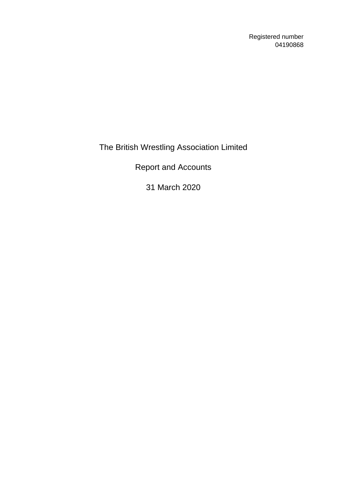Registered number 04190868

The British Wrestling Association Limited

Report and Accounts

31 March 2020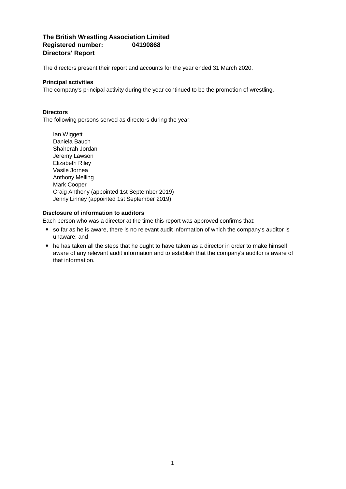## **The British Wrestling Association Limited Registered number: 04190868 Directors' Report**

The directors present their report and accounts for the year ended 31 March 2020.

### **Principal activities**

The company's principal activity during the year continued to be the promotion of wrestling.

### **Directors**

The following persons served as directors during the year:

Daniela Bauch Shaherah Jordan Jeremy Lawson Elizabeth Riley Ian Wiggett Vasile Jornea Anthony Melling Mark Cooper Craig Anthony (appointed 1st September 2019) Jenny Linney (appointed 1st September 2019)

# **Disclosure of information to auditors** ●

Each person who was a director at the time this report was approved confirms that:

- so far as he is aware, there is no relevant audit information of which the company's auditor is unaware; and
- he has taken all the steps that he ought to have taken as a director in order to make himself aware of any relevant audit information and to establish that the company's auditor is aware of that information.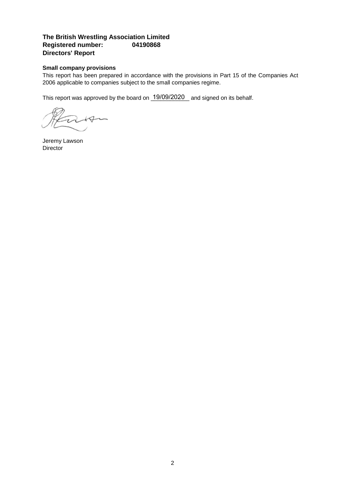## **The British Wrestling Association Limited Registered number: 04190868 Directors' Report**

### **Small company provisions**

This report has been prepared in accordance with the provisions in Part 15 of the Companies Act 2006 applicable to companies subject to the small companies regime.

This report was approved by the board on  $19/09/2020$  and signed on its behalf.

 $\sqrt{2}$ 

Jeremy Lawson Director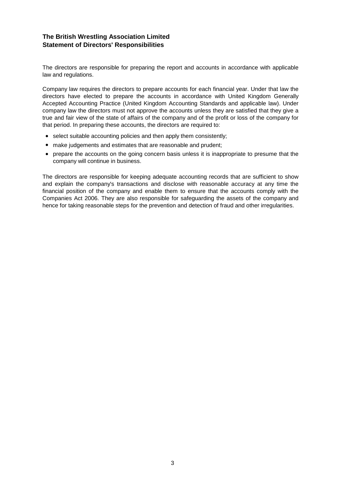## **The British Wrestling Association Limited Statement of Directors' Responsibilities**

The directors are responsible for preparing the report and accounts in accordance with applicable law and regulations.

that period. In preparing these accounts, the directors are required to: Company law requires the directors to prepare accounts for each financial year. Under that law the directors have elected to prepare the accounts in accordance with United Kingdom Generally Accepted Accounting Practice (United Kingdom Accounting Standards and applicable law). Under company law the directors must not approve the accounts unless they are satisfied that they give a true and fair view of the state of affairs of the company and of the profit or loss of the company for

- select s ● select suitable accounting policies and then apply them consistently;
- make judgements and estimates that are reasonable and prudent;
- prepare the accounts on the going concern basis unless it is inappropriate to presume that the company will continue in business.

The directors are responsible for keeping adequate accounting records that are sufficient to show and explain the company's transactions and disclose with reasonable accuracy at any time the financial position of the company and enable them to ensure that the accounts comply with the Companies Act 2006. They are also responsible for safeguarding the assets of the company and hence for taking reasonable steps for the prevention and detection of fraud and other irregularities.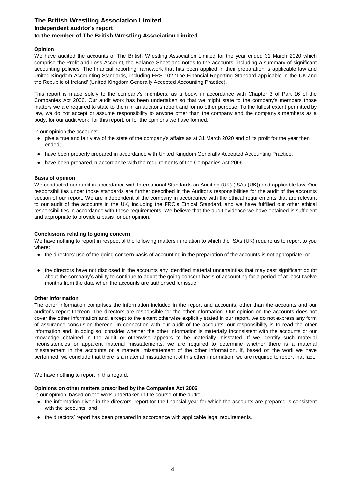### **The British Wrestling Association Limited Independent auditor's report to the member of The British Wrestling Association Limited**

#### **Opinion**

We have audited the accounts of The British Wrestling Association Limited for the year ended 31 March 2020 which comprise the Profit and Loss Account, the Balance Sheet and notes to the accounts, including a summary of significant accounting policies. The financial reporting framework that has been applied in their preparation is applicable law and United Kingdom Accounting Standards, including FRS 102 'The Financial Reporting Standard applicable in the UK and the Republic of Ireland' (United Kingdom Generally Accepted Accounting Practice).

This report is made solely to the company's members, as a body, in accordance with Chapter 3 of Part 16 of the Companies Act 2006. Our audit work has been undertaken so that we might state to the company's members those matters we are required to state to them in an auditor's report and for no other purpose. To the fullest extent permitted by law, we do not accept or assume responsibility to anyone other than the company and the company's members as a body, for our audit work, for this report, or for the opinions we have formed.

In our opinion the accounts:

- give a true and fair view of the state of the company's affairs as at 31 March 2020 and of its profit for the year then ended;
- have bee have been properly prepared in accordance with United Kingdom Generally Accepted Accounting Practice;
- have been prepared in accordance with the requirements of the Companies Act 2006.

### **Basis of opinion**

We conducted our audit in accordance with International Standards on Auditing (UK) (ISAs (UK)) and applicable law.Our **Basis of opinion**<br>We conducted our audit in accordance with International Standards on Auditing (UK) (ISAs (UK)) and applicable law. Our<br>responsibilities under those standards are further described in the Auditor's respon section of our report. We are independent of the company in accordance with the ethical requirements that are relevant responsibilities under those standards are further described in the Auditor's responsibilities for the audit of the accounts section of our report. We are independent of the company in accordance with the ethical requireme responsibilities in accordance with these requirements. We believe that the audit evidence we have obtained is sufficient and appropriate to provide a basis for our opinion.

#### **Conclusions relating to going concern**

We have nothing to report in respect of the following matters in relation to which the ISAs (UK) require us to report to you where:

- the directors' use of the going concern basis of accounting in the preparation of the accounts is not appropriate; or
- the directors have not disclosed in the accounts any identified material uncertainties that may cast significant doubt the directors have not disclosed in the accounts any identified material uncertainties that may cast significant doubt<br>about the company's ability to continue to adopt the going concern basis of accounting for a period of months from the date when the accounts are authorised for issue.

#### **Other information**

The other information comprises the information included in the report and accounts, other than the accounts and our auditor's report thereon. The directors are responsible for the other information. Our opinion on the accounts does not cover the other information and, except to the extent otherwise explicitly stated in our report, we do not express any form of assurance conclusion thereon. In connection with our audit of the accounts, our responsibility is to read the other information and, in doing so, consider whether the other information is materially inconsistent with the accounts or our knowledge obtained in the audit or otherwise appears to be materially misstated. If we identify such material inconsistencies or apparent material misstatements, we are required to determine whether there is a material misstatement in the accounts or a material misstatement of the other information. If, based on the work we have performed, we conclude that there is a material misstatement of this other information, we are required to report that fact.

We have nothing to report in this regard.

#### **Opinions on other matters prescribed by the Companies Act 2006**

In our opinion, based on the work undertaken in the course of the audit:

- **ppinions on other matters prescribed by the Companies Act 2006**<br>• our opinion, based on the work undertaken in the course of the audit:<br>● the information given in the directors' report for the financial year for which th with the accounts; and
- the directors' report has been prepared in accordance with applicable legal requirements.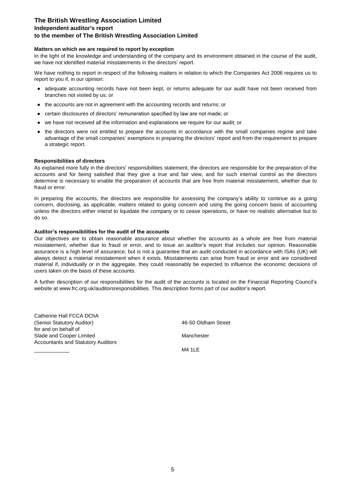### **The British Wrestling Association Limited Independent auditor's report to the member of The British Wrestling Association Limited**

#### **Matters on which we are required to report by exception**

In the light of the knowledge and understanding of the company and its environment obtained in the course of the audit, Matters on which we are required to report by exception<br>In the light of the knowledge and understanding of the company and its owe have not identified material misstatements in the directors' report.

We have nothing to report in respect of the following matters in relation to which the Companies Act 2006 requires us to report to you if, in our opinion:

- adequate accounting records have not been kept, or returns adequate for our audit have not been received from branches not visited by us; or
- the acco ● the accounts are not in agreement with the accounting records and returns; or
- the accounts are not in agreement with the accounting records and returns; or<br>● certain disclosures of directors' remuneration specified by law are not made; or
- we have not received all the information and explanations we require for our audit; or
- the directors were not entitled to prepare the accounts in accordance with the small companies regime and take advantage of the small companies' exemptions in preparing the directors' report and from the requirement to prepare a strategic report.

#### **Responsibilities of directors**

As explained more fully in the directors' responsibilities statement, the directors are responsible for the preparation of the accounts and for being satisfied that they give a true and fair view, and for such internal control as the directors determine is necessary to enable the preparation of accounts that are free from material misstatement, whether due to fraud or error.

In preparing the accounts, the directors are responsible for assessing the company's ability to continue as a going concern, disclosing, as applicable, matters related to going concern and using the going concern basis of accounting unless the directors either intend to liquidate the company orto cease operations, or have no realistic alternative but to do so.

#### **Auditorís responsibilities for the audit of the accounts**

Our objectives are to obtain reasonable assurance about whether the accounts as a whole are free from material Auditor's responsibilities for the audit of the accounts<br>Our objectives are to obtain reasonable assurance about whether the accounts as a whole are free from material<br>misstatement, whether due to fraud or error, and to is assurance is a high level of assurance, but is not a guarantee that an audit conducted in accordance with ISAs (UK) will always detect a material misstatement when it exists. Misstatements can arise from fraud or error and are considered material if, individually or in the aggregate, they could reasonably be expected to influence the economic decisions of users taken on the basis of these accounts. Materian in, individually of in the aggregate, they could reasonably be expected to inhactive the economic desistence of<br>users taken on the basis of these accounts.<br>A further description of our responsibilities for the aud

assite antitivation at we sacto of these assessme.<br>A further description of our responsibilities for the audit of the accounts is located on the Financial Re<br>website at www.frc.org.uk/auditorsresponsibilities. This descrip

Catherine Hall FCCA DChA (Senior Statutory Auditor) 46-50 Oldham Street for and on behalf of Slade and Cooper Limited Manchester Accountants and Statutory Auditors

\_\_\_\_\_\_\_\_\_\_\_\_ M4 1LE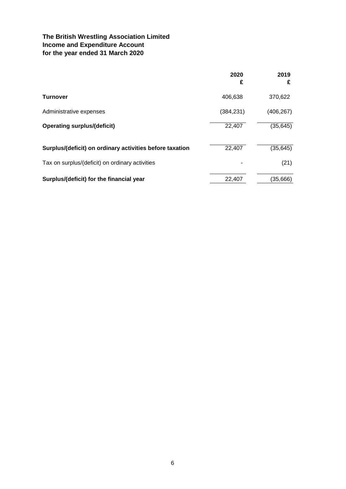## **The British Wrestling Association Limited Income and Expenditure Account for the year ended 31 March 2020**

| 2020<br>£  | 2019<br>£  |
|------------|------------|
| 406,638    | 370,622    |
| (384, 231) | (406, 267) |
| 22,407     | (35, 645)  |
| 22,407     | (35, 645)  |
|            | (21)       |
| 22,407     | (35,666)   |
|            |            |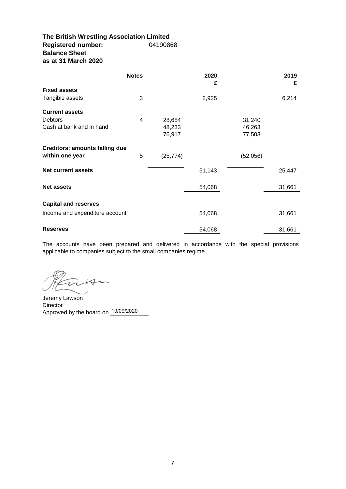## **The British Wrestling Association Limited Registered number:** 04190868 **Balance Sheet as at 31 March 2020**

|                                       | <b>Notes</b> |           | 2020<br>£ |          | 2019<br>£ |
|---------------------------------------|--------------|-----------|-----------|----------|-----------|
| <b>Fixed assets</b>                   |              |           |           |          |           |
| Tangible assets                       | 3            |           | 2,925     |          | 6,214     |
| <b>Current assets</b>                 |              |           |           |          |           |
| <b>Debtors</b>                        | 4            | 28,684    |           | 31,240   |           |
| Cash at bank and in hand              |              | 48,233    |           | 46,263   |           |
|                                       |              | 76,917    |           | 77,503   |           |
| <b>Creditors: amounts falling due</b> |              |           |           |          |           |
| within one year                       | 5            | (25, 774) |           | (52,056) |           |
| <b>Net current assets</b>             |              |           | 51,143    |          | 25,447    |
| <b>Net assets</b>                     |              |           | 54,068    |          | 31,661    |
| <b>Capital and reserves</b>           |              |           |           |          |           |
| Income and expenditure account        |              |           | 54,068    |          | 31,661    |
| <b>Reserves</b>                       |              |           | 54,068    |          | 31,661    |

The accounts have been prepared and delivered in accordance with the special provisions applicable to companies subject to the small companies regime.

Jeremy Lawson Director Approved by the board on  $\frac{19/09/2020}{\cdot}$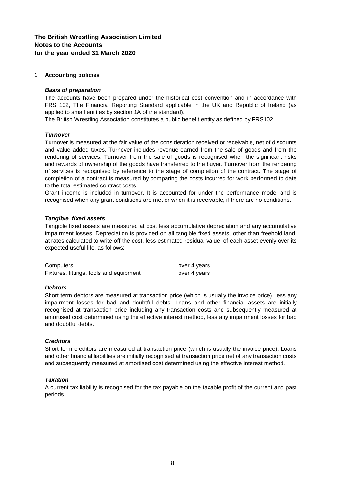## **The British Wrestling Association Limited Notes to the Accounts for the year ended 31 March 2020**

### **1 Accounting policies**

### **Basis of preparation**

The accounts have been prepared under the historical cost convention and in accordance with FRS 102, The Financial Reporting Standard applicable in the UK and Republic of Ireland (as applied to small entities by section 1A of the standard).

The British Wrestling Association constitutes a public benefit entity as defined by FRS102.

### **Turnover**

Turnover is measured at the fairvalue of the consideration received or receivable, net of discounts and value added taxes. Turnover includes revenue earned from the sale of goods and from the rendering of services. Turnover from the sale of goods is recognised when the significant risks and rewards of ownership of the goods have transferred to the buyer. Turnover from the rendering of services is recognised by reference to the stage of completion of the contract. The stage of completion of a contract is measured by comparing the costs incurred for work performed to date to the total estimated contract costs.

Grant income is included in turnover. It is accounted for under the performance model and is recognised when any grant conditions are met or when it is receivable, if there are no conditions.

### **Tangible fixed assets**

Tangible fixed assets are measured at cost less accumulative depreciation and any accumulative impairment losses. Depreciation is provided on all tangible fixed assets, other than freehold land, at rates calculated to write off the cost, less estimated residual value, of each asset evenly over its expected useful life, as follows:

| Computers                               | over 4 years |
|-----------------------------------------|--------------|
| Fixtures, fittings, tools and equipment | over 4 years |

#### **Debtors**

Short term debtors are measured at transaction price (which is usually the invoice price), less any impairment losses for bad and doubtful debts. Loans and other financial assets are initially recognised at transaction price including any transaction costs and subsequently measured at amortised cost determined using the effective interest method, less any impairment losses for bad and doubtful debts.

#### **Creditors**

Short term creditors are measured at transaction price (which is usually the invoice price). Loans and other financial liabilities are initially recognised at transaction price net of any transaction costs and subsequently measured at amortised cost determined using the effective interest method.

### **Taxation**

A current tax liability is recognised for the tax payable on the taxable profit of the current and past periods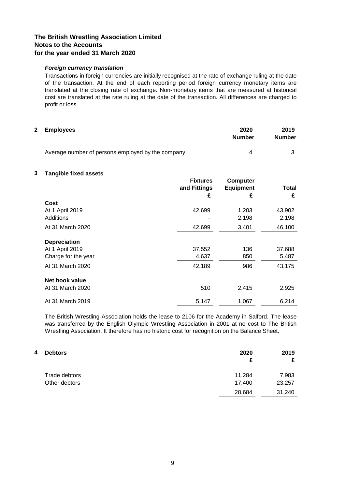## **The British Wrestling Association Limited Notes to the Accounts for the year ended 31 March 2020**

### **Foreign currency translation**

Transactions in foreign currencies are initially recognised at the rate of exchange ruling at the date of the transaction. At the end of each reporting period foreign currency monetary items are translated at the closing rate of exchange. Non-monetary items that are measured at historical cost are translated at the rate ruling at the date of the transaction. All differences are charged to profit or loss.

| 2 | Employees                                         | 2020<br><b>Number</b> | 2019<br><b>Number</b> |  |
|---|---------------------------------------------------|-----------------------|-----------------------|--|
|   | Average number of persons employed by the company |                       |                       |  |

### **3 Tangible fixed assets**

|                     | <b>Fixtures</b> | <b>Computer</b>  |              |
|---------------------|-----------------|------------------|--------------|
|                     | and Fittings    | <b>Equipment</b> | <b>Total</b> |
|                     | £               | £                | £            |
| Cost                |                 |                  |              |
| At 1 April 2019     | 42,699          | 1,203            | 43,902       |
| Additions           |                 | 2,198            | 2,198        |
| At 31 March 2020    | 42,699          | 3,401            | 46,100       |
| <b>Depreciation</b> |                 |                  |              |
| At 1 April 2019     | 37,552          | 136              | 37,688       |
| Charge for the year | 4,637           | 850              | 5,487        |
| At 31 March 2020    | 42,189          | 986              | 43,175       |
| Net book value      |                 |                  |              |
| At 31 March 2020    | 510             | 2,415            | 2,925        |
| At 31 March 2019    | 5,147           | 1,067            | 6,214        |

The British Wrestling Association holds the lease to 2106 for the Academy in Salford. The lease was transferred by the English Olympic Wrestling Association in 2001 at no cost to The British Wrestling Association. It therefore has no historic cost for recognition on the Balance Sheet.

| 4<br><b>Debtors</b> | 2020<br>£ | 2019<br>£ |
|---------------------|-----------|-----------|
| Trade debtors       | 11,284    | 7,983     |
| Other debtors       | 17,400    | 23,257    |
|                     | 28,684    | 31,240    |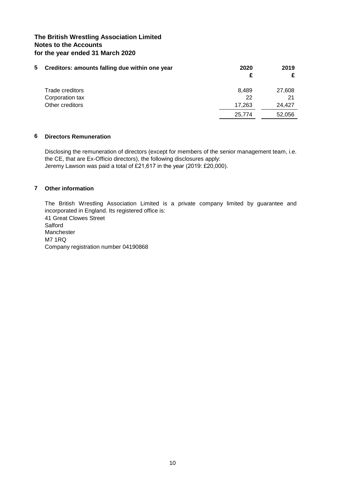## **The British Wrestling Association Limited Notes to the Accounts for the year ended 31 March 2020**

| 5. | Creditors: amounts falling due within one year | 2020<br>£ | 2019<br>£ |  |
|----|------------------------------------------------|-----------|-----------|--|
|    | Trade creditors                                | 8.489     | 27,608    |  |
|    | Corporation tax                                | 22        | 21        |  |
|    | Other creditors                                | 17,263    | 24,427    |  |
|    |                                                | 25,774    | 52,056    |  |

## **6 Directors Remuneration**

Disclosing the remuneration of directors (except for members of the senior management team, i.e. Jeremy Lawson was paid <sup>a</sup> total of £21,617 in the year (2019: £20,000). the CE, that are Ex-Officio directors), the following disclosures apply:

## **7 Other information**

41 Great Clowes Street **Salford** Manchester M7 1RQ Company registration number 04190868 The British Wrestling Association Limited is a private company limited by guarantee and incorporated in England. Its registered office is: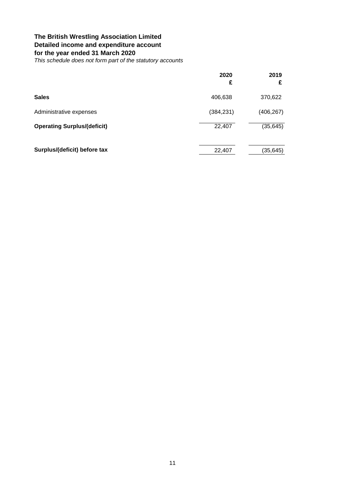## **The British Wrestling Association Limited Detailed income and expenditure account for the year ended 31 March 2020**

This schedule does not form part of the statutory accounts

|                                    | 2020<br>£  | 2019<br>£  |
|------------------------------------|------------|------------|
| <b>Sales</b>                       | 406,638    | 370,622    |
| Administrative expenses            | (384, 231) | (406, 267) |
| <b>Operating Surplus/(deficit)</b> | 22,407     | (35, 645)  |
| Surplus/(deficit) before tax       | 22,407     | (35, 645)  |